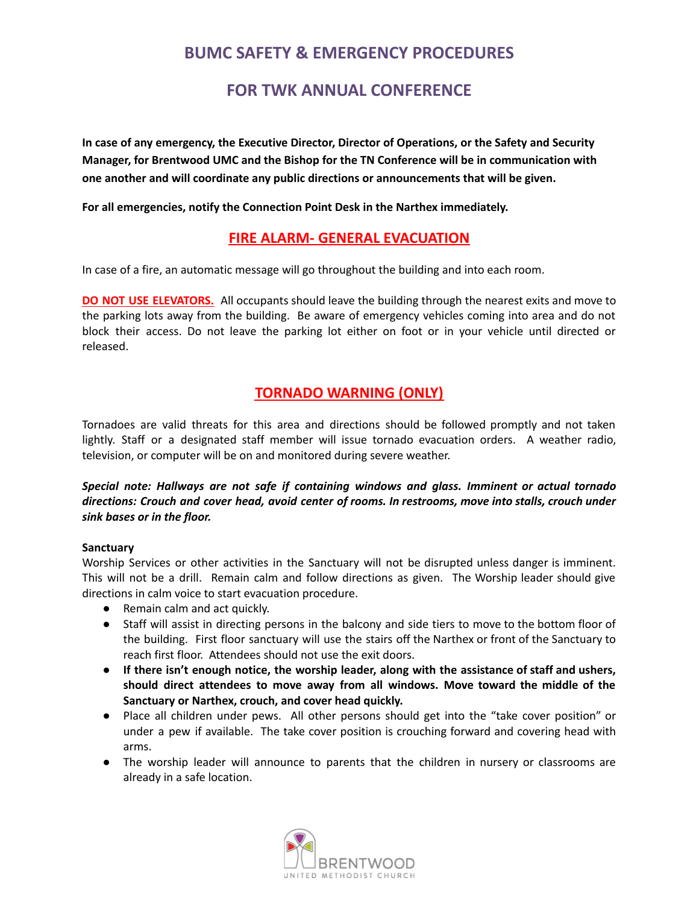# **BUMC SAFETY & EMERGENCY PROCEDURES**

# **FOR TWK ANNUAL CONFERENCE**

**In case of any emergency, the Executive Director, Director of Operations, or the Safety and Security Manager, for Brentwood UMC and the Bishop for the TN Conference will be in communication with one another and will coordinate any public directions or announcements that will be given.**

**For all emergencies, notify the Connection Point Desk in the Narthex immediately.**

## **FIRE ALARM- GENERAL EVACUATION**

In case of a fire, an automatic message will go throughout the building and into each room.

**DO NOT USE ELEVATORS.** All occupants should leave the building through the nearest exits and move to the parking lots away from the building. Be aware of emergency vehicles coming into area and do not block their access. Do not leave the parking lot either on foot or in your vehicle until directed or released.

# **TORNADO WARNING (ONLY)**

Tornadoes are valid threats for this area and directions should be followed promptly and not taken lightly. Staff or a designated staff member will issue tornado evacuation orders. A weather radio, television, or computer will be on and monitored during severe weather.

### *Special note: Hallways are not safe if containing windows and glass. Imminent or actual tornado directions: Crouch and cover head, avoid center of rooms. In restrooms, move into stalls, crouch under sink bases or in the floor.*

#### **Sanctuary**

Worship Services or other activities in the Sanctuary will not be disrupted unless danger is imminent. This will not be a drill. Remain calm and follow directions as given. The Worship leader should give directions in calm voice to start evacuation procedure.

- Remain calm and act quickly.
- Staff will assist in directing persons in the balcony and side tiers to move to the bottom floor of the building. First floor sanctuary will use the stairs off the Narthex or front of the Sanctuary to reach first floor. Attendees should not use the exit doors.
- **● If there isn't enough notice, the worship leader, along with the assistance of staff and ushers, should direct attendees to move away from all windows. Move toward the middle of the Sanctuary or Narthex, crouch, and cover head quickly.**
- Place all children under pews. All other persons should get into the "take cover position" or under a pew if available. The take cover position is crouching forward and covering head with arms.
- The worship leader will announce to parents that the children in nursery or classrooms are already in a safe location.

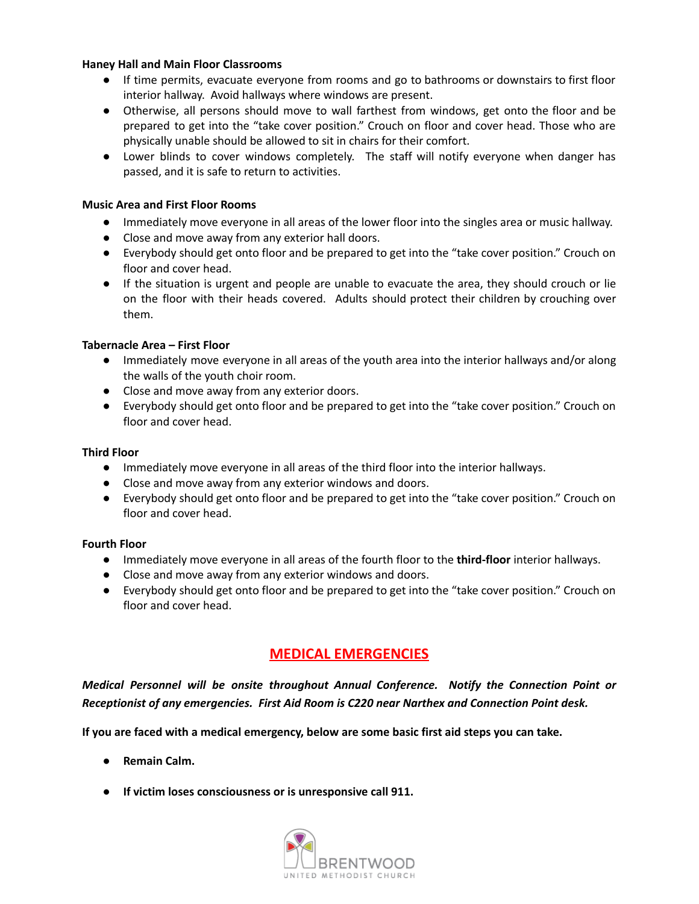#### **Haney Hall and Main Floor Classrooms**

- If time permits, evacuate everyone from rooms and go to bathrooms or downstairs to first floor interior hallway. Avoid hallways where windows are present.
- Otherwise, all persons should move to wall farthest from windows, get onto the floor and be prepared to get into the "take cover position." Crouch on floor and cover head. Those who are physically unable should be allowed to sit in chairs for their comfort.
- **●** Lower blinds to cover windows completely. The staff will notify everyone when danger has passed, and it is safe to return to activities.

#### **Music Area and First Floor Rooms**

- Immediately move everyone in all areas of the lower floor into the singles area or music hallway.
- Close and move away from any exterior hall doors.
- Everybody should get onto floor and be prepared to get into the "take cover position." Crouch on floor and cover head.
- If the situation is urgent and people are unable to evacuate the area, they should crouch or lie on the floor with their heads covered. Adults should protect their children by crouching over them.

#### **Tabernacle Area – First Floor**

- Immediately move everyone in all areas of the youth area into the interior hallways and/or along the walls of the youth choir room.
- Close and move away from any exterior doors.
- Everybody should get onto floor and be prepared to get into the "take cover position." Crouch on floor and cover head.

#### **Third Floor**

- Immediately move everyone in all areas of the third floor into the interior hallways.
- **●** Close and move away from any exterior windows and doors.
- **●** Everybody should get onto floor and be prepared to get into the "take cover position." Crouch on floor and cover head.

#### **Fourth Floor**

- Immediately move everyone in all areas of the fourth floor to the **third-floor** interior hallways.
- **●** Close and move away from any exterior windows and doors.
- **●** Everybody should get onto floor and be prepared to get into the "take cover position." Crouch on floor and cover head.

### **MEDICAL EMERGENCIES**

*Medical Personnel will be onsite throughout Annual Conference. Notify the Connection Point or Receptionist of any emergencies. First Aid Room is C220 near Narthex and Connection Point desk.*

**If you are faced with a medical emergency, below are some basic first aid steps you can take.**

- **● Remain Calm.**
- **● If victim loses consciousness or is unresponsive call 911.**